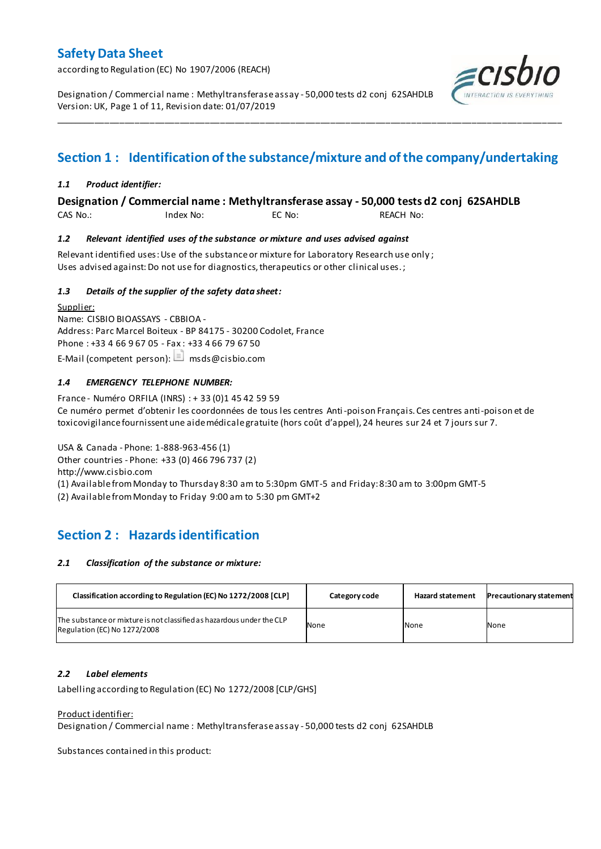according to Regulation (EC) No 1907/2006 (REACH)

Designation / Commercial name : Methyltransferase assay - 50,000 tests d2 conj 62SAHDLB Version: UK, Page 1 of 11, Revision date: 01/07/2019



## **Section 1 : Identification of the substance/mixture and of the company/undertaking**

\_\_\_\_\_\_\_\_\_\_\_\_\_\_\_\_\_\_\_\_\_\_\_\_\_\_\_\_\_\_\_\_\_\_\_\_\_\_\_\_\_\_\_\_\_\_\_\_\_\_\_\_\_\_\_\_\_\_\_\_\_\_\_\_\_\_\_\_\_\_\_\_\_\_\_\_\_\_\_\_\_\_\_\_\_\_\_\_\_\_\_\_\_\_\_\_\_\_\_\_\_

### *1.1 Product identifier:*

### **Designation / Commercial name : Methyltransferase assay - 50,000 tests d2 conj 62SAHDLB**

CAS No.: Index No: EC No: REACH No:

### *1.2 Relevant identified uses of the substance or mixture and uses advised against*

Relevant identified uses: Use of the substance or mixture for Laboratory Research use only ; Uses advised against: Do not use for diagnostics, therapeutics or other clinical uses.;

### *1.3 Details of the supplier of the safety data sheet:*

Supplier: Name: CISBIO BIOASSAYS - CBBIOA - Address: Parc Marcel Boiteux - BP 84175 - 30200 Codolet, France Phone : +33 4 66 9 67 05 - Fax : +33 4 66 79 67 50 E-Mail (competent person):  $\Box$  msds@cisbio.com

### *1.4 EMERGENCY TELEPHONE NUMBER:*

France - Numéro ORFILA (INRS) : + 33 (0)1 45 42 59 59 Ce numéro permet d'obtenir les coordonnées de tous les centres Anti-poison Français. Ces centres anti-poison et de toxicovigilance fournissent une aide médicale gratuite (hors coût d'appel), 24 heures sur 24 et 7 jours sur 7.

USA & Canada - Phone: 1-888-963-456 (1) Other countries - Phone: +33 (0) 466 796 737 (2) http://www.cisbio.com (1) Available from Monday to Thursday 8:30 am to 5:30pm GMT-5 and Friday: 8:30 am to 3:00pm GMT-5

(2) Available from Monday to Friday 9:00 am to 5:30 pm GMT+2

## **Section 2 : Hazards identification**

#### *2.1 Classification of the substance or mixture:*

| Classification according to Regulation (EC) No 1272/2008 [CLP]                                        | Category code | <b>Hazard statement</b> | <b>Precautionary statement</b> |
|-------------------------------------------------------------------------------------------------------|---------------|-------------------------|--------------------------------|
| The substance or mixture is not classified as hazardous under the CLP<br>Regulation (EC) No 1272/2008 | None          | None                    | None                           |

### *2.2 Label elements*

Labelling according to Regulation (EC) No 1272/2008 [CLP/GHS]

#### Product identifier:

Designation / Commercial name : Methyltransferase assay - 50,000 tests d2 conj 62SAHDLB

Substances contained in this product: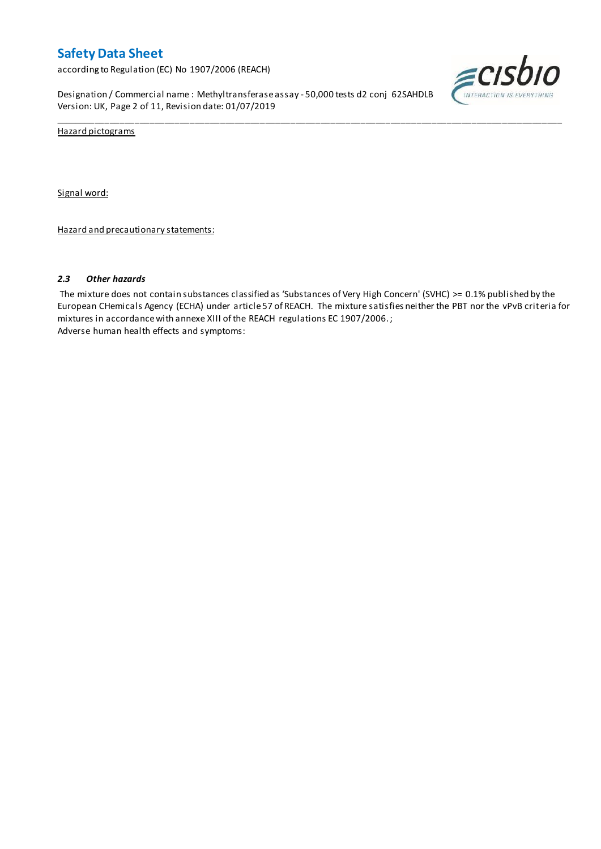according to Regulation (EC) No 1907/2006 (REACH)

Designation / Commercial name : Methyltransferase assay - 50,000 tests d2 conj 62SAHDLB Version: UK, Page 2 of 11, Revision date: 01/07/2019



Hazard pictograms

Signal word:

Hazard and precautionary statements:

#### *2.3 Other hazards*

The mixture does not contain substances classified as 'Substances of Very High Concern' (SVHC) >= 0.1% published by the European CHemicals Agency (ECHA) under article 57 of REACH. The mixture satisfies neither the PBT nor the vPvB criteria for mixtures in accordance with annexe XIII of the REACH regulations EC 1907/2006. ; Adverse human health effects and symptoms:

\_\_\_\_\_\_\_\_\_\_\_\_\_\_\_\_\_\_\_\_\_\_\_\_\_\_\_\_\_\_\_\_\_\_\_\_\_\_\_\_\_\_\_\_\_\_\_\_\_\_\_\_\_\_\_\_\_\_\_\_\_\_\_\_\_\_\_\_\_\_\_\_\_\_\_\_\_\_\_\_\_\_\_\_\_\_\_\_\_\_\_\_\_\_\_\_\_\_\_\_\_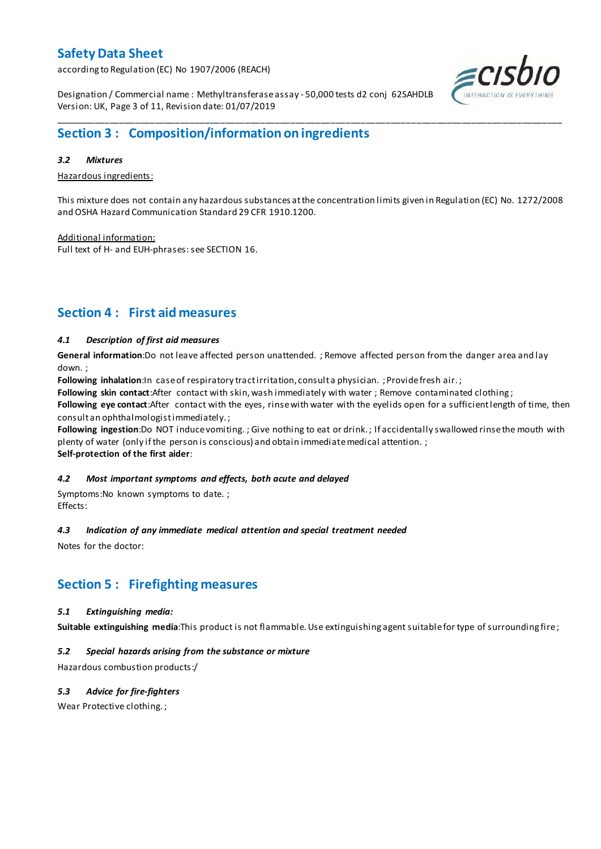according to Regulation (EC) No 1907/2006 (REACH)

Designation / Commercial name : Methyltransferase assay - 50,000 tests d2 conj 62SAHDLB Version: UK, Page 3 of 11, Revision date: 01/07/2019

## **Section 3 : Composition/information on ingredients**

#### *3.2 Mixtures*

Hazardous ingredients:

This mixture does not contain any hazardous substances at the concentration limits given in Regulation (EC) No. 1272/2008 and OSHA Hazard Communication Standard 29 CFR 1910.1200.

\_\_\_\_\_\_\_\_\_\_\_\_\_\_\_\_\_\_\_\_\_\_\_\_\_\_\_\_\_\_\_\_\_\_\_\_\_\_\_\_\_\_\_\_\_\_\_\_\_\_\_\_\_\_\_\_\_\_\_\_\_\_\_\_\_\_\_\_\_\_\_\_\_\_\_\_\_\_\_\_\_\_\_\_\_\_\_\_\_\_\_\_\_\_\_\_\_\_\_\_\_

Additional information: Full text of H- and EUH-phrases: see SECTION 16.

## **Section 4 : First aid measures**

### *4.1 Description of first aid measures*

**General information**:Do not leave affected person unattended. ; Remove affected person from the danger area and lay down. ;

Following inhalation:In case of respiratory tract irritation, consult a physician. ; Provide fresh air.;

**Following skin contact**:After contact with skin, wash immediately with water ; Remove contaminated clothing ;

**Following eye contact**:After contact with the eyes, rinse with water with the eyelids open for a sufficient length of time, then consult an ophthalmologist immediately. ;

**Following ingestion**:Do NOT induce vomiting. ; Give nothing to eat or drink. ; If accidentally swallowed rinse the mouth with plenty of water (only if the person is conscious) and obtain immediate medical attention. ; **Self-protection of the first aider**:

# *4.2 Most important symptoms and effects, both acute and delayed*

Symptoms:No known symptoms to date. ; Effects:

### *4.3 Indication of any immediate medical attention and special treatment needed*

Notes for the doctor:

### **Section 5 : Firefighting measures**

#### *5.1 Extinguishing media:*

**Suitable extinguishing media**:This product is not flammable. Use extinguishing agent suitable for type of surrounding fire ;

### *5.2 Special hazards arising from the substance or mixture*

Hazardous combustion products:/

### *5.3 Advice for fire-fighters*

Wear Protective clothing. ;

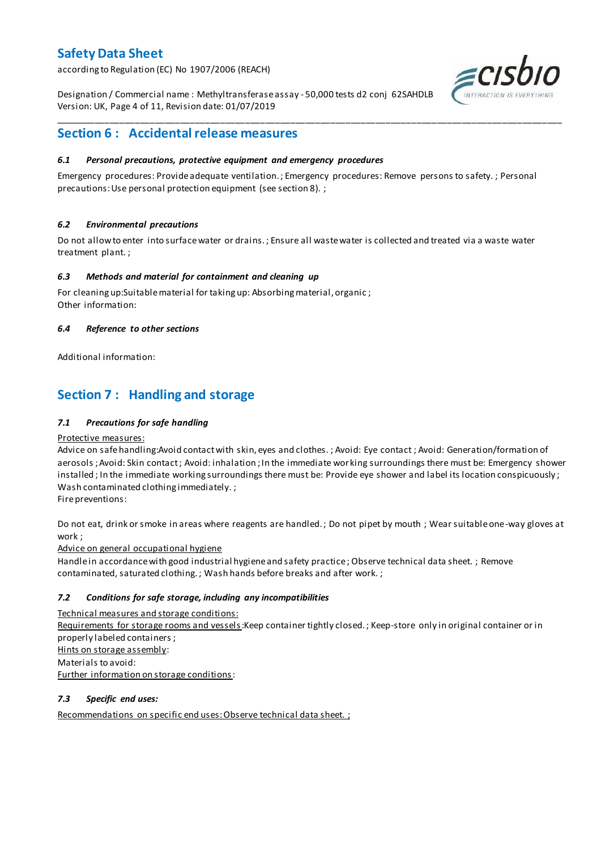according to Regulation (EC) No 1907/2006 (REACH)

Designation / Commercial name : Methyltransferase assay - 50,000 tests d2 conj 62SAHDLB Version: UK, Page 4 of 11, Revision date: 01/07/2019



## **Section 6 : Accidental release measures**

### *6.1 Personal precautions, protective equipment and emergency procedures*

Emergency procedures: Provide adequate ventilation. ; Emergency procedures: Remove persons to safety. ; Personal precautions: Use personal protection equipment (see section 8). ;

\_\_\_\_\_\_\_\_\_\_\_\_\_\_\_\_\_\_\_\_\_\_\_\_\_\_\_\_\_\_\_\_\_\_\_\_\_\_\_\_\_\_\_\_\_\_\_\_\_\_\_\_\_\_\_\_\_\_\_\_\_\_\_\_\_\_\_\_\_\_\_\_\_\_\_\_\_\_\_\_\_\_\_\_\_\_\_\_\_\_\_\_\_\_\_\_\_\_\_\_\_

### *6.2 Environmental precautions*

Do not allow to enter into surface water or drains. ; Ensure all waste water is collected and treated via a waste water treatment plant. ;

#### *6.3 Methods and material for containment and cleaning up*

For cleaning up:Suitable material for taking up: Absorbing material, organic ; Other information:

### *6.4 Reference to other sections*

Additional information:

## **Section 7 : Handling and storage**

### *7.1 Precautions for safe handling*

#### Protective measures:

Advice on safe handling:Avoid contact with skin, eyes and clothes. ; Avoid: Eye contact ; Avoid: Generation/formation of aerosols ; Avoid: Skin contact ; Avoid: inhalation ; In the immediate wor king surroundings there must be: Emergency shower installed ; In the immediate working surroundings there must be: Provide eye shower and label its location conspicuously ; Wash contaminated clothing immediately. ;

Fire preventions:

Do not eat, drink or smoke in areas where reagents are handled. ; Do not pipet by mouth ; Wear suitable one-way gloves at work ;

Advice on general occupational hygiene

Handle in accordance with good industrial hygiene and safety practice ; Observe technical data sheet. ; Remove contaminated, saturated clothing. ; Wash hands before breaks and after work. ;

### *7.2 Conditions for safe storage, including any incompatibilities*

Technical measures and storage conditions:

Requirements for storage rooms and vessels: Keep container tightly closed. ; Keep-store only in original container or in properly labeled containers ; Hints on storage assembly: Materials to avoid: Further information on storage conditions:

#### *7.3 Specific end uses:*

Recommendations on specific end uses: Observe technical data sheet. ;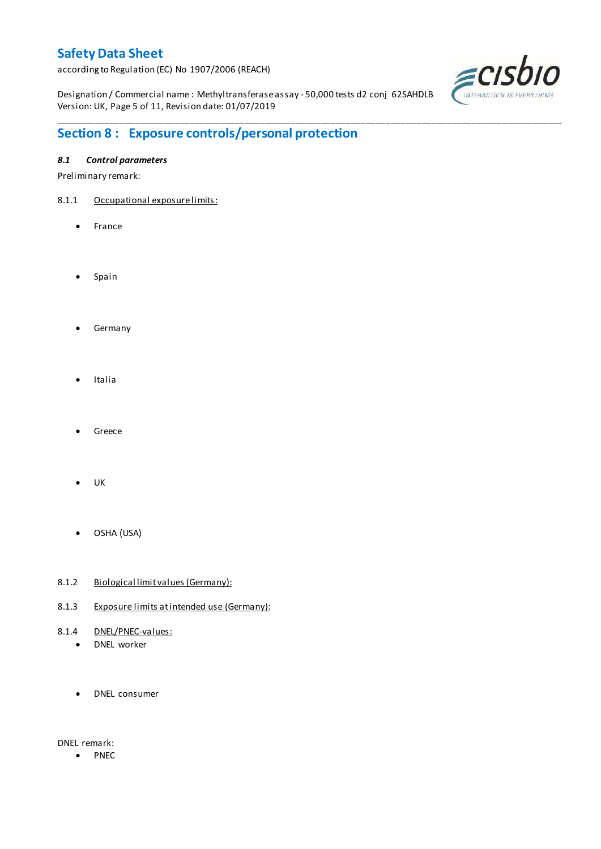according to Regulation (EC) No 1907/2006 (REACH)

Designation / Commercial name : Methyltransferase assay - 50,000 tests d2 conj 62SAHDLB Version: UK, Page 5 of 11, Revision date: 01/07/2019

\_\_\_\_\_\_\_\_\_\_\_\_\_\_\_\_\_\_\_\_\_\_\_\_\_\_\_\_\_\_\_\_\_\_\_\_\_\_\_\_\_\_\_\_\_\_\_\_\_\_\_\_\_\_\_\_\_\_\_\_\_\_\_\_\_\_\_\_\_\_\_\_\_\_\_\_\_\_\_\_\_\_\_\_\_\_\_\_\_\_\_\_\_\_\_\_\_\_\_\_\_



## **Section 8 : Exposure controls/personal protection**

### *8.1 Control parameters*

Preliminary remark:

- 8.1.1 Occupational exposure limits:
	- France
	- Spain
	- **•** Germany
	- Italia
	- Greece
	- UK
	- OSHA (USA)
- 8.1.2 Biological limit values (Germany):
- 8.1.3 Exposure limits at intended use (Germany):
- 8.1.4 DNEL/PNEC-values:
	- DNEL worker
	- DNEL consumer

DNEL remark:

• PNEC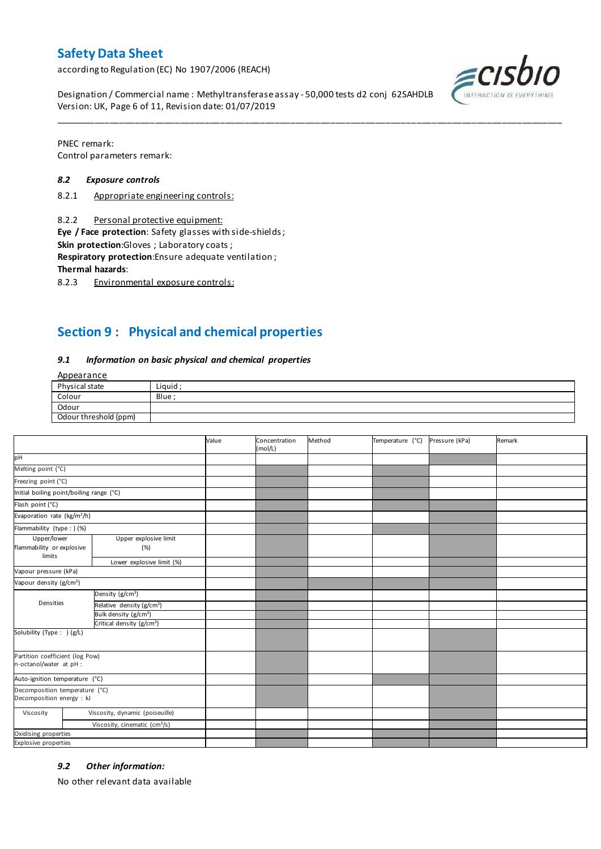according to Regulation (EC) No 1907/2006 (REACH)

Designation / Commercial name : Methyltransferase assay - 50,000 tests d2 conj 62SAHDLB Version: UK, Page 6 of 11, Revision date: 01/07/2019



PNEC remark: Control parameters remark:

#### *8.2 Exposure controls*

- 8.2.1 Appropriate engineering controls:
- 8.2.2 Personal protective equipment:

**Eye / Face protection**: Safety glasses with side-shields ;

**Skin protection**:Gloves ; Laboratory coats ;

**Respiratory protection**:Ensure adequate ventilation ;

**Thermal hazards**:

8.2.3 Environmental exposure controls:

## **Section 9 : Physical and chemical properties**

#### *9.1 Information on basic physical and chemical properties*

**Annearance** 

| $1.49$ P C G $1.911$ C |        |
|------------------------|--------|
| Physical state         | Liauid |
| Colour                 | Blue : |
| Odour                  |        |
| Odour threshold (ppm)  |        |

\_\_\_\_\_\_\_\_\_\_\_\_\_\_\_\_\_\_\_\_\_\_\_\_\_\_\_\_\_\_\_\_\_\_\_\_\_\_\_\_\_\_\_\_\_\_\_\_\_\_\_\_\_\_\_\_\_\_\_\_\_\_\_\_\_\_\_\_\_\_\_\_\_\_\_\_\_\_\_\_\_\_\_\_\_\_\_\_\_\_\_\_\_\_\_\_\_\_\_\_\_

|                                                             |                                       | Value | Concentration<br>(mol/L) | Method | Temperature (°C) | Pressure (kPa) | Remark |
|-------------------------------------------------------------|---------------------------------------|-------|--------------------------|--------|------------------|----------------|--------|
| pH                                                          |                                       |       |                          |        |                  |                |        |
| Melting point (°C)                                          |                                       |       |                          |        |                  |                |        |
| Freezing point (°C)                                         |                                       |       |                          |        |                  |                |        |
| Initial boiling point/boiling range (°C)                    |                                       |       |                          |        |                  |                |        |
| Flash point (°C)                                            |                                       |       |                          |        |                  |                |        |
| Evaporation rate (kg/m <sup>2</sup> /h)                     |                                       |       |                          |        |                  |                |        |
| Flammability (type : ) (%)                                  |                                       |       |                          |        |                  |                |        |
| Upper/lower<br>flammability or explosive<br>limits          | Upper explosive limit<br>(%)          |       |                          |        |                  |                |        |
|                                                             | Lower explosive limit (%)             |       |                          |        |                  |                |        |
| Vapour pressure (kPa)                                       |                                       |       |                          |        |                  |                |        |
| Vapour density (g/cm <sup>3</sup> )                         |                                       |       |                          |        |                  |                |        |
|                                                             | Density $(g/cm3)$                     |       |                          |        |                  |                |        |
| Densities                                                   | Relative density (g/cm <sup>3</sup> ) |       |                          |        |                  |                |        |
|                                                             | Bulk density (g/cm <sup>3</sup> )     |       |                          |        |                  |                |        |
|                                                             | Critical density (g/cm <sup>3</sup> ) |       |                          |        |                  |                |        |
| Solubility (Type: ) (g/L)                                   |                                       |       |                          |        |                  |                |        |
| Partition coefficient (log Pow)<br>n-octanol/water at pH :  |                                       |       |                          |        |                  |                |        |
| Auto-ignition temperature (°C)                              |                                       |       |                          |        |                  |                |        |
| Decomposition temperature (°C)<br>Decomposition energy : kJ |                                       |       |                          |        |                  |                |        |
| Viscosity                                                   | Viscosity, dynamic (poiseuille)       |       |                          |        |                  |                |        |
|                                                             | Viscosity, cinematic $(cm3/s)$        |       |                          |        |                  |                |        |
| Oxidising properties                                        |                                       |       |                          |        |                  |                |        |
| Explosive properties                                        |                                       |       |                          |        |                  |                |        |

#### *9.2 Other information:*

No other relevant data available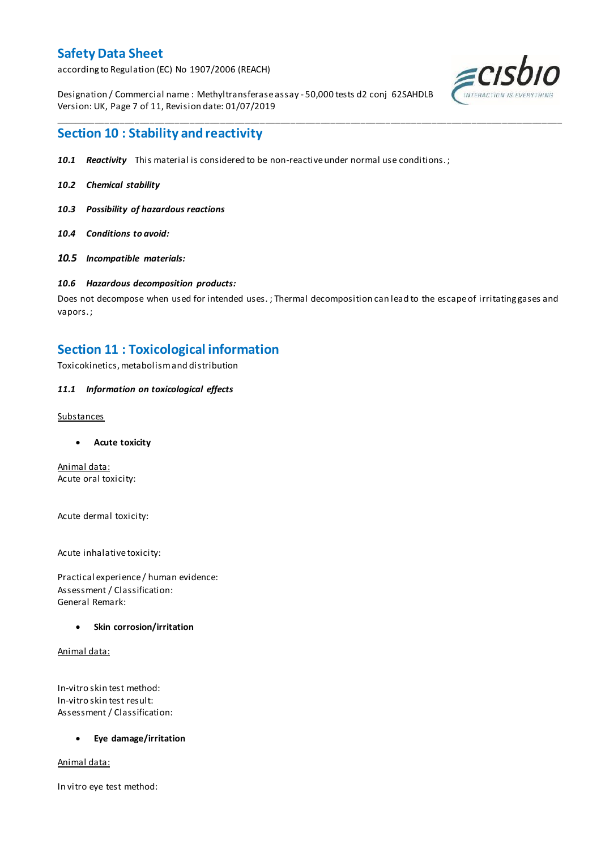according to Regulation (EC) No 1907/2006 (REACH)

Designation / Commercial name : Methyltransferase assay - 50,000 tests d2 conj 62SAHDLB Version: UK, Page 7 of 11, Revision date: 01/07/2019



### **Section 10 : Stability and reactivity**

- *10.1 Reactivity* This material is considered to be non-reactive under normal use conditions. ;
- *10.2 Chemical stability*
- *10.3 Possibility of hazardous reactions*
- *10.4 Conditions to avoid:*
- *10.5 Incompatible materials:*

#### *10.6 Hazardous decomposition products:*

Does not decompose when used for intended uses. ; Thermal decomposition can lead to the escape of irritating gases and vapors. ;

\_\_\_\_\_\_\_\_\_\_\_\_\_\_\_\_\_\_\_\_\_\_\_\_\_\_\_\_\_\_\_\_\_\_\_\_\_\_\_\_\_\_\_\_\_\_\_\_\_\_\_\_\_\_\_\_\_\_\_\_\_\_\_\_\_\_\_\_\_\_\_\_\_\_\_\_\_\_\_\_\_\_\_\_\_\_\_\_\_\_\_\_\_\_\_\_\_\_\_\_\_

### **Section 11 : Toxicological information**

Toxicokinetics, metabolism and distribution

#### *11.1 Information on toxicological effects*

#### Substances

**Acute toxicity**

Animal data: Acute oral toxicity:

Acute dermal toxicity:

Acute inhalative toxicity:

Practical experience / human evidence: Assessment / Classification: General Remark:

#### **Skin corrosion/irritation**

Animal data:

In-vitro skin test method: In-vitro skin test result: Assessment / Classification:

#### **Eye damage/irritation**

Animal data:

In vitro eye test method: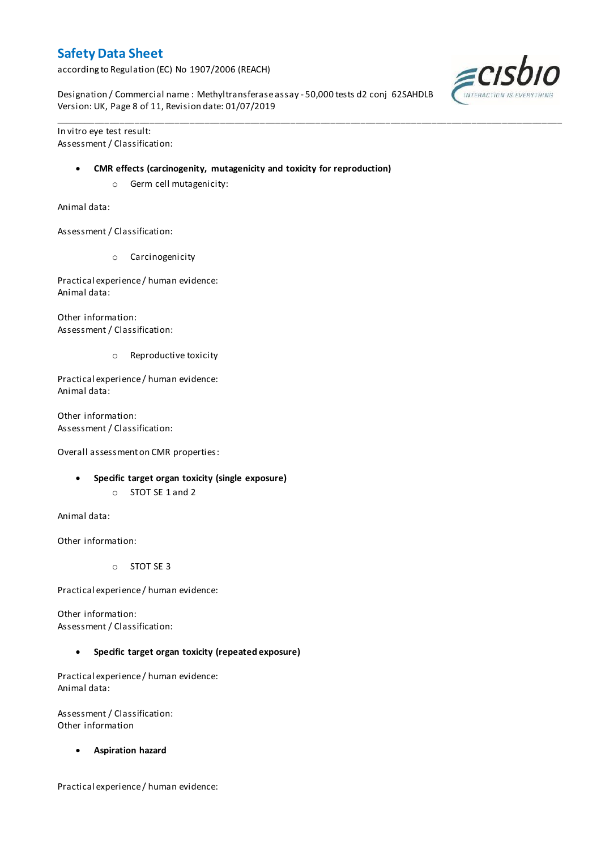according to Regulation (EC) No 1907/2006 (REACH)

Designation / Commercial name : Methyltransferase assay - 50,000 tests d2 conj 62SAHDLB Version: UK, Page 8 of 11, Revision date: 01/07/2019

\_\_\_\_\_\_\_\_\_\_\_\_\_\_\_\_\_\_\_\_\_\_\_\_\_\_\_\_\_\_\_\_\_\_\_\_\_\_\_\_\_\_\_\_\_\_\_\_\_\_\_\_\_\_\_\_\_\_\_\_\_\_\_\_\_\_\_\_\_\_\_\_\_\_\_\_\_\_\_\_\_\_\_\_\_\_\_\_\_\_\_\_\_\_\_\_\_\_\_\_\_

In vitro eye test result: Assessment / Classification:

#### **CMR effects (carcinogenity, mutagenicity and toxicity for reproduction)**

o Germ cell mutagenicity:

Animal data:

Assessment / Classification:

o Carcinogenicity

Practical experience / human evidence: Animal data:

Other information: Assessment / Classification:

o Reproductive toxicity

Practical experience / human evidence: Animal data:

Other information: Assessment / Classification:

Overall assessment on CMR properties:

- **Specific target organ toxicity (single exposure)**
	- o STOT SE 1 and 2

Animal data:

Other information:

o STOT SE 3

Practical experience / human evidence:

Other information: Assessment / Classification:

**Specific target organ toxicity (repeated exposure)**

Practical experience / human evidence: Animal data:

Assessment / Classification: Other information

**Aspiration hazard**

Practical experience / human evidence:

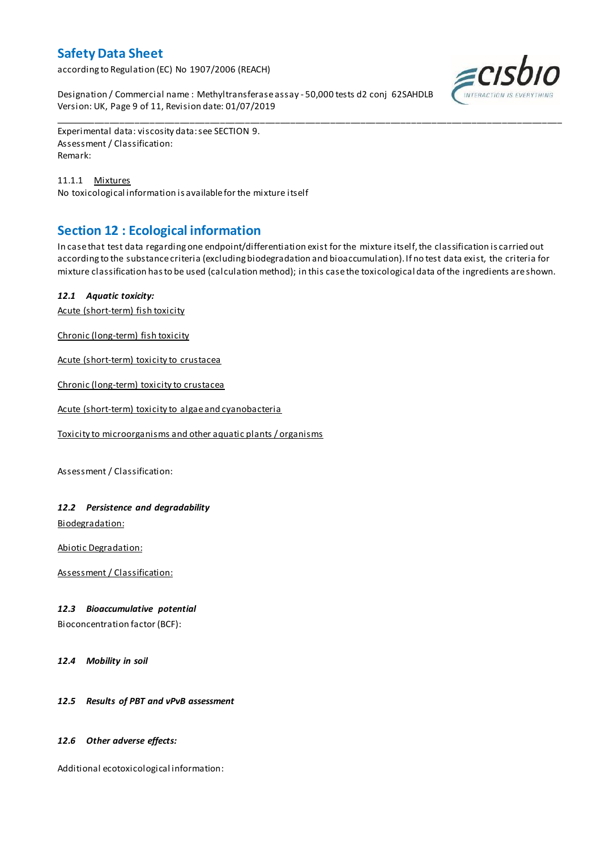according to Regulation (EC) No 1907/2006 (REACH)

Designation / Commercial name : Methyltransferase assay - 50,000 tests d2 conj 62SAHDLB Version: UK, Page 9 of 11, Revision date: 01/07/2019



Experimental data: viscosity data: see SECTION 9. Assessment / Classification: Remark:

11.1.1 Mixtures No toxicological information is available for the mixture itself

## **Section 12 : Ecological information**

In case that test data regarding one endpoint/differentiation exist for the mixture itself, the classification is carried out according to the substance criteria (excluding biodegradation and bioaccumulation). If no test data exist, the criteria for mixture classification has to be used (calculation method); in this case the toxicological data of the ingredients are shown.

\_\_\_\_\_\_\_\_\_\_\_\_\_\_\_\_\_\_\_\_\_\_\_\_\_\_\_\_\_\_\_\_\_\_\_\_\_\_\_\_\_\_\_\_\_\_\_\_\_\_\_\_\_\_\_\_\_\_\_\_\_\_\_\_\_\_\_\_\_\_\_\_\_\_\_\_\_\_\_\_\_\_\_\_\_\_\_\_\_\_\_\_\_\_\_\_\_\_\_\_\_

### *12.1 Aquatic toxicity:*

Acute (short-term) fish toxicity

Chronic (long-term) fish toxicity

Acute (short-term) toxicity to crustacea

Chronic (long-term) toxicity to crustacea

Acute (short-term) toxicity to algae and cyanobacteria

Toxicity to microorganisms and other aquatic plants / organisms

Assessment / Classification:

### *12.2 Persistence and degradability*

Biodegradation:

Abiotic Degradation:

Assessment / Classification:

#### *12.3 Bioaccumulative potential*

Bioconcentration factor (BCF):

*12.4 Mobility in soil*

#### *12.5 Results of PBT and vPvB assessment*

#### *12.6 Other adverse effects:*

Additional ecotoxicological information: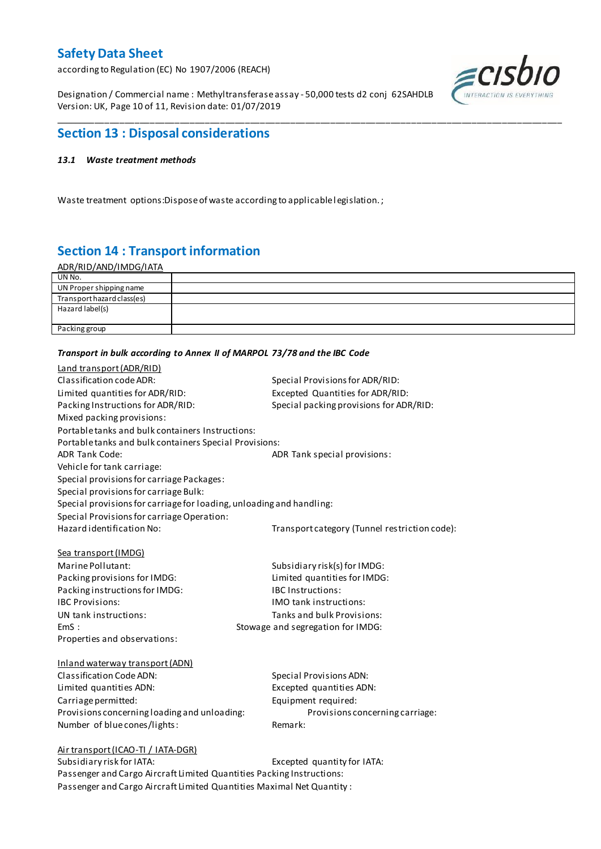according to Regulation (EC) No 1907/2006 (REACH)

Designation / Commercial name : Methyltransferase assay - 50,000 tests d2 conj 62SAHDLB Version: UK, Page 10 of 11, Revision date: 01/07/2019



## **Section 13 : Disposal considerations**

#### *13.1 Waste treatment methods*

Waste treatment options: Dispose of waste according to applicable legislation.;

## **Section 14 : Transport information**

| <u>ADR/RID/AND/IMDG/IATA</u> |  |
|------------------------------|--|
| UN No.                       |  |
| UN Proper shipping name      |  |
| Transport hazard class(es)   |  |
| Hazard label(s)              |  |
|                              |  |
| Packing group                |  |
|                              |  |

\_\_\_\_\_\_\_\_\_\_\_\_\_\_\_\_\_\_\_\_\_\_\_\_\_\_\_\_\_\_\_\_\_\_\_\_\_\_\_\_\_\_\_\_\_\_\_\_\_\_\_\_\_\_\_\_\_\_\_\_\_\_\_\_\_\_\_\_\_\_\_\_\_\_\_\_\_\_\_\_\_\_\_\_\_\_\_\_\_\_\_\_\_\_\_\_\_\_\_\_\_

#### *Transport in bulk according to Annex II of MARPOL 73/78 and the IBC Code*

| Land transport (ADR/RID)                                              |                                               |  |  |  |
|-----------------------------------------------------------------------|-----------------------------------------------|--|--|--|
| Classification code ADR:                                              | Special Provisions for ADR/RID:               |  |  |  |
| Limited quantities for ADR/RID:                                       | Excepted Quantities for ADR/RID:              |  |  |  |
| Packing Instructions for ADR/RID:                                     | Special packing provisions for ADR/RID:       |  |  |  |
| Mixed packing provisions:                                             |                                               |  |  |  |
| Portable tanks and bulk containers Instructions:                      |                                               |  |  |  |
| Portable tanks and bulk containers Special Provisions:                |                                               |  |  |  |
| <b>ADR Tank Code:</b>                                                 | ADR Tank special provisions:                  |  |  |  |
| Vehicle for tank carriage:                                            |                                               |  |  |  |
| Special provisions for carriage Packages:                             |                                               |  |  |  |
| Special provisions for carriage Bulk:                                 |                                               |  |  |  |
| Special provisions for carriage for loading, unloading and handling:  |                                               |  |  |  |
| Special Provisions for carriage Operation:                            |                                               |  |  |  |
| Hazard identification No:                                             | Transport category (Tunnel restriction code): |  |  |  |
|                                                                       |                                               |  |  |  |
| Sea transport (IMDG)                                                  |                                               |  |  |  |
| Marine Pollutant:                                                     | Subsidiary risk(s) for IMDG:                  |  |  |  |
| Packing provisions for IMDG:                                          | Limited quantities for IMDG:                  |  |  |  |
| Packing instructions for IMDG:                                        | <b>IBC Instructions:</b>                      |  |  |  |
| <b>IBC Provisions:</b>                                                | <b>IMO</b> tank instructions:                 |  |  |  |
| UN tank instructions:                                                 | Tanks and bulk Provisions:                    |  |  |  |
| EmS:                                                                  | Stowage and segregation for IMDG:             |  |  |  |
| Properties and observations:                                          |                                               |  |  |  |
|                                                                       |                                               |  |  |  |
| Inland waterway transport (ADN)                                       |                                               |  |  |  |
| <b>Classification Code ADN:</b>                                       | <b>Special Provisions ADN:</b>                |  |  |  |
| Limited quantities ADN:                                               | Excepted quantities ADN:                      |  |  |  |
| Carriage permitted:                                                   | Equipment required:                           |  |  |  |
| Provisions concerning loading and unloading:                          | Provisions concerning carriage:               |  |  |  |
| Number of blue cones/lights:                                          | Remark:                                       |  |  |  |
|                                                                       |                                               |  |  |  |
| Air transport (ICAO-TI / IATA-DGR)                                    |                                               |  |  |  |
| Subsidiary risk for IATA:                                             | Excepted quantity for IATA:                   |  |  |  |
| Passenger and Cargo Aircraft Limited Quantities Packing Instructions: |                                               |  |  |  |

Passenger and Cargo Aircraft Limited Quantities Maximal Net Quantity :